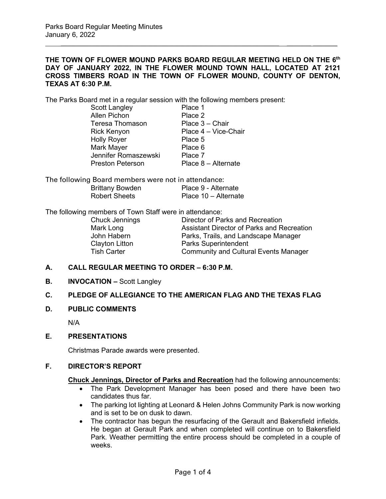## **THE TOWN OF FLOWER MOUND PARKS BOARD REGULAR MEETING HELD ON THE 6th DAY OF JANUARY 2022, IN THE FLOWER MOUND TOWN HALL, LOCATED AT 2121 CROSS TIMBERS ROAD IN THE TOWN OF FLOWER MOUND, COUNTY OF DENTON, TEXAS AT 6:30 P.M.**

\_\_\_\_\_\_\_\_\_\_\_\_\_\_\_\_\_\_\_\_\_\_\_\_\_\_\_\_\_\_\_\_\_\_\_\_\_\_\_\_\_\_\_\_\_\_\_\_\_\_\_\_\_\_\_\_\_\_\_\_\_\_\_ \_\_\_\_\_\_\_ \_\_\_\_\_\_\_

The Parks Board met in a regular session with the following members present:

| Scott Langley           | Place 1              |
|-------------------------|----------------------|
| <b>Allen Pichon</b>     | Place 2              |
| <b>Teresa Thomason</b>  | Place 3 - Chair      |
| Rick Kenyon             | Place 4 - Vice-Chair |
| <b>Holly Royer</b>      | Place 5              |
| Mark Mayer              | Place 6              |
| Jennifer Romaszewski    | Place 7              |
| <b>Preston Peterson</b> | Place 8 - Alternate  |
|                         |                      |

The following Board members were not in attendance: Brittany Bowden Place 9 - Alternate<br>Robert Sheets Place 10 - Alternate Place  $10 -$  Alternate

The following members of Town Staff were in attendance:

| Director of Parks and Recreation             |
|----------------------------------------------|
| Assistant Director of Parks and Recreation   |
| Parks, Trails, and Landscape Manager         |
| <b>Parks Superintendent</b>                  |
| <b>Community and Cultural Events Manager</b> |
|                                              |

#### **A. CALL REGULAR MEETING TO ORDER – 6:30 P.M.**

**B. INVOCATION –** Scott Langley

## **C. PLEDGE OF ALLEGIANCE TO THE AMERICAN FLAG AND THE TEXAS FLAG**

**D. PUBLIC COMMENTS**

N/A

**E. PRESENTATIONS**

Christmas Parade awards were presented.

# **F. DIRECTOR'S REPORT**

**Chuck Jennings, Director of Parks and Recreation** had the following announcements:

- The Park Development Manager has been posed and there have been two candidates thus far.
- The parking lot lighting at Leonard & Helen Johns Community Park is now working and is set to be on dusk to dawn.
- The contractor has begun the resurfacing of the Gerault and Bakersfield infields. He began at Gerault Park and when completed will continue on to Bakersfield Park. Weather permitting the entire process should be completed in a couple of weeks.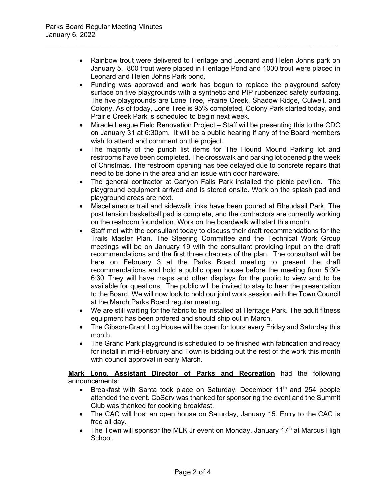• Rainbow trout were delivered to Heritage and Leonard and Helen Johns park on January 5. 800 trout were placed in Heritage Pond and 1000 trout were placed in Leonard and Helen Johns Park pond.

\_\_\_\_\_\_\_\_\_\_\_\_\_\_\_\_\_\_\_\_\_\_\_\_\_\_\_\_\_\_\_\_\_\_\_\_\_\_\_\_\_\_\_\_\_\_\_\_\_\_\_\_\_\_\_\_\_\_\_\_\_\_\_ \_\_\_\_\_\_\_ \_\_\_\_\_\_\_

- Funding was approved and work has begun to replace the playground safety surface on five playgrounds with a synthetic and PIP rubberized safety surfacing. The five playgrounds are Lone Tree, Prairie Creek, Shadow Ridge, Culwell, and Colony. As of today, Lone Tree is 95% completed, Colony Park started today, and Prairie Creek Park is scheduled to begin next week.
- Miracle League Field Renovation Project Staff will be presenting this to the CDC on January 31 at 6:30pm. It will be a public hearing if any of the Board members wish to attend and comment on the project.
- The majority of the punch list items for The Hound Mound Parking lot and restrooms have been completed. The crosswalk and parking lot opened p the week of Christmas. The restroom opening has bee delayed due to concrete repairs that need to be done in the area and an issue with door hardware.
- The general contractor at Canyon Falls Park installed the picnic pavilion. The playground equipment arrived and is stored onsite. Work on the splash pad and playground areas are next.
- Miscellaneous trail and sidewalk links have been poured at Rheudasil Park. The post tension basketball pad is complete, and the contractors are currently working on the restroom foundation. Work on the boardwalk will start this month.
- Staff met with the consultant today to discuss their draft recommendations for the Trails Master Plan. The Steering Committee and the Technical Work Group meetings will be on January 19 with the consultant providing input on the draft recommendations and the first three chapters of the plan. The consultant will be here on February 3 at the Parks Board meeting to present the draft recommendations and hold a public open house before the meeting from 5:30- 6:30. They will have maps and other displays for the public to view and to be available for questions. The public will be invited to stay to hear the presentation to the Board. We will now look to hold our joint work session with the Town Council at the March Parks Board regular meeting.
- We are still waiting for the fabric to be installed at Heritage Park. The adult fitness equipment has been ordered and should ship out in March.
- The Gibson-Grant Log House will be open for tours every Friday and Saturday this month.
- The Grand Park playground is scheduled to be finished with fabrication and ready for install in mid-February and Town is bidding out the rest of the work this month with council approval in early March.

**Mark Long, Assistant Director of Parks and Recreation** had the following announcements:

- Breakfast with Santa took place on Saturday, December  $11<sup>th</sup>$  and 254 people attended the event. CoServ was thanked for sponsoring the event and the Summit Club was thanked for cooking breakfast.
- The CAC will host an open house on Saturday, January 15. Entry to the CAC is free all day.
- The Town will sponsor the MLK Jr event on Monday, January 17<sup>th</sup> at Marcus High School.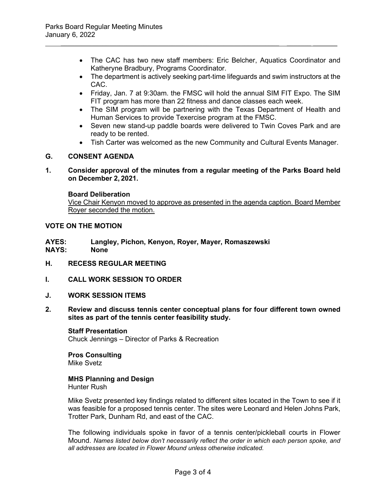• The CAC has two new staff members: Eric Belcher, Aquatics Coordinator and Katheryne Bradbury, Programs Coordinator.

\_\_\_\_\_\_\_\_\_\_\_\_\_\_\_\_\_\_\_\_\_\_\_\_\_\_\_\_\_\_\_\_\_\_\_\_\_\_\_\_\_\_\_\_\_\_\_\_\_\_\_\_\_\_\_\_\_\_\_\_\_\_\_ \_\_\_\_\_\_\_ \_\_\_\_\_\_\_

- The department is actively seeking part-time lifeguards and swim instructors at the CAC.
- Friday, Jan. 7 at 9:30am. the FMSC will hold the annual SIM FIT Expo. The SIM FIT program has more than 22 fitness and dance classes each week.
- The SIM program will be partnering with the Texas Department of Health and Human Services to provide Texercise program at the FMSC.
- Seven new stand-up paddle boards were delivered to Twin Coves Park and are ready to be rented.
- Tish Carter was welcomed as the new Community and Cultural Events Manager.

# **G. CONSENT AGENDA**

**1. Consider approval of the minutes from a regular meeting of the Parks Board held on December 2, 2021.**

## **Board Deliberation**

Vice Chair Kenyon moved to approve as presented in the agenda caption. Board Member Royer seconded the motion.

# **VOTE ON THE MOTION**

- **AYES: Langley, Pichon, Kenyon, Royer, Mayer, Romaszewski NAYS:**
- **H. RECESS REGULAR MEETING**
- **I. CALL WORK SESSION TO ORDER**
- **J. WORK SESSION ITEMS**
- **2. Review and discuss tennis center conceptual plans for four different town owned sites as part of the tennis center feasibility study.**

**Staff Presentation** Chuck Jennings – Director of Parks & Recreation

**Pros Consulting** Mike Svetz

# **MHS Planning and Design**

Hunter Rush

Mike Svetz presented key findings related to different sites located in the Town to see if it was feasible for a proposed tennis center. The sites were Leonard and Helen Johns Park, Trotter Park, Dunham Rd, and east of the CAC.

The following individuals spoke in favor of a tennis center/pickleball courts in Flower Mound. *Names listed below don't necessarily reflect the order in which each person spoke, and all addresses are located in Flower Mound unless otherwise indicated.*